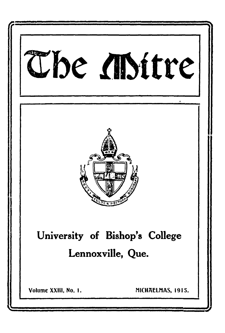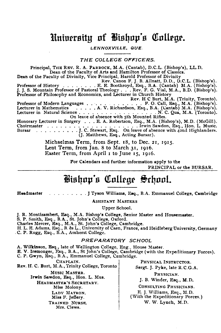### University of Bishop's College.

*LENNOXVILLE, QUE.*

*T H E C O L L E G E O F F IC E R S.*

Principal, THE REV. R. A. PARROCK, M.A. (Cantab), D.C.L. (Bishop's), LL.D. Dean of the Faculty of Arts and Hamilton Professor of Classics. Dean of the Faculty of Divinity, Vice Principal, Harold Professor of Divinity Rev. Canon F. J. B. Allnatt, D.D., D.C.L. (Bishop's). Professor of H is t o r y ..........................E. E. Boothroyd, Esq., B.A. (Cantab) M.A. (Bishop's). J. J. S. Mountain Professor of Pastoral Theology . . . Rev. F. G. Vial, M.A., B.D. (Bishop's). Professor of Philosophy and Economics, and Lecturer in Church History Rev. H C Burt, M.A. (Trinity, Toronto). Professor of Modern Languages . . . . . . . . . . . . . . . . . . P. O. Call, Esq., M.A. (Bishop's)<br>Lecturer in Mathematics . . . . . . . A. V. Richardson, Esq., B.A. (Cantab) M.A. (Bishop's Lecturer in Natural S cien ce................................................................N. C. Qua, M.A. (Toronto). On leave of absence with 5th Mounted Rifles. Honorary Lecturer in Surgery . . . E. A. Robertson, Esq., M.A. (Bishop's), M.D. (McGill). C h o irm a ste r...........................................................................Irwin Sawdon, Esq., Hon. L. Music. Bursar .........J. C. Stewart, Esq. On leave of absence with 42nd Highlanders.<br>(J. Matthews, Esq., Acting Bursar).

> Michaelmas Term, from Sept. 18, to Dec. 21, 1915. Lent Term, from Jan. 8 to March 31, 1916. Easter Term, from April 1 to June 15, 1916.

> > For Calendars and further information apply to the

PRINCIPAL or the BURSAR.

### **B i s h o p 's C o l l e g e S c h o o l**

Headmaster J. J. J. J. J. J. Tyson Williams, Esq., B.A. Emmanuel College, Cambridge

ASSISTANT MASTERS

Upper School.

J. R. Montizambert, Esq., M.A. Bishop's College, Senior Master and Housemaster.

S. P. Smith, Esq., B.A., St. John's College, Oxford.

Charles Mercer, Esq., M.A., St. John's College, Cambridge.

H. L. E. Adams, Esq., B. es L., University of Caen, France, and Heidleberg University, Germany , C. P. Rugg, Esq., B.A., Amherst College.

#### *P R E P A R A T O R Y SCHOOL*

A. Wilkinson, Esq., late of Wellington College, Eng., House Master.

E. V. Iremonger, Esq., B.A., St John's College, Cambridge (with the Expeditionary Forces). C. P. Gwyn, Esq., B.A., Emmanuel College, Cambridge.

CHAPLAIN. Rev. H. C. Burt, M.A., Trinity College, Toronto MUSIC MASTER. Irwin Sawdon, Esq., Hon. L. Mus. HEADMASTER'S SECRETARY. Miss Molony. LADY MATRON. Miss F. Jeffery. TRAINED NURSE. Mrs. Clews.

PHYSICAL INSTRUCTOR. Sergt. J. Pyke, late R.C.G.A.

PHYSICIAN.

J. B. Winder, Esq., M.D.

CONSULTING PHYSICIANS.

E. J. Williams, Esq., M.D. (With the Expeditionary Forces.) W. W. Lynch, M.D.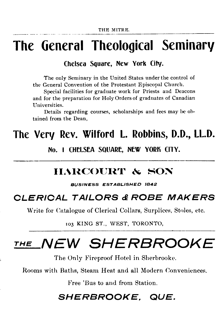# **The General Theological Seminary**

### **Chelsea Square, New York City.**

The only Seminary in the United States under the control of the General Convention of the Protestant Episcopal Church.

Special facilities for graduate work for Priests and Deacons and for the preparation for Holy Orders of graduates of Canadian Universities.

Details regarding courses, scholarships and fees may be obtained from the Dean,

## **The Very Rev. Wilford L. Robbins, D.D., LL.D.**

**No. I CHELSEA SQUARE, NEW YORK CITY.**

### **HARCOURT & SON**

**BUSINESS ESTABLISHED 1842** 

### *CLERICAL TAILORS & ROBE MAKERS*

Write for Catalogue of Clerical Collars, Surplices, Stoles, etc.

103 KING ST., WEST, TORONTO,

# *the NEW SHERBROOKE*

The Only Fireproof Hotel in Sherbrooke.

Rooms with Baths, Steam Heat and all Modern Conveniences.

Free 'Bus to and from Station.

## *SHERBROOKE. QUE.*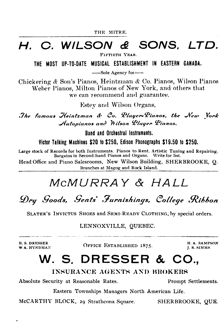## *H. O. WILSON & SONS. LTD.*

FIFTIETH YRAR.

**THE MOST UP-TO-DATE MUSICAL ESTABLISHMENT IN EASTERN CANADA.**

--Sole Agency for-

Chickering & Son's Pianos, Heintzman *&* Co. Pianos, Wilson Pianos Weber Pianos, Milton Pianos of New York, and others that we can recommend and guarantee.

Estey and Wilson Organs.

*The famous Heintzman & Co. Player-Pianos, the New York* Autopianos and Wilson Player Pianos.

**Band and Orchestral Instruments.**

Victor Talking Machines \$20 to \$250. Edison Phonographs \$19.50 to \$250.

Large stock of Records for both Instruments. Pianos to Rent. Artistic Tuning and Repairing. Bargains in Second-hand Pianos and Organs. Write for list.

Head Office and Piano Salesrooms, New Wilson Building, SHERBROOKE, Q. Branches at Magog and Rock Island.

## *M c M U R R A Y & H A L L*

*D r y G o o d s , G e n t s ' F u r n i s h i n g s , C o lle g e R i b b o n*

SLATER'S INVICTUS SHOES and SEMI-READY CLOTHING, by special orders.

LENNOXVILLE, QUEBEC.

H. S. DRESSER<br>W A. HYNDMAN

**WEIGHT A. SAMPSON BETABLISHED 1875.** H.A. SAMPSON

J. R. SIM M S

## W. S. DRESSER & CO..

#### **INSURANCE AGENTS AND BROKERS**

Absolute Security at Reasonable Rates. Prompt Settlements.

Eastern Townships Managers North American Life.

McCARTHY BLOCK, 29 Strathcona Square. SHERBROOKE, QUE.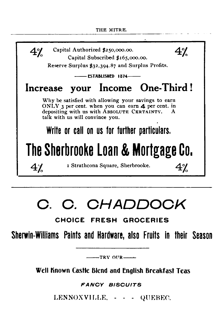

# **C . C .** *CHADDOCK*

### **CHOICE FRESH GROCERIES**

**Sherwin-Williams Paints and Hardware, also Fruits in their Season**

 $-$ TRY OUR $-$ 

**Well Known Castle Blend and English Breakfast Teas**

*FAN CY B IS C U ITS*

LENNOXVILLE, - - - QUEBEC.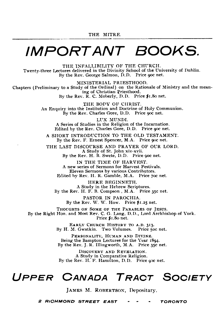# *IMPORTANT BOOKS.*

THE INFALLIBILITY OF THE CHURCH. Twenty-three Lectures delivered in the Divinity School of the University of Dublin. By the Rev. George Salmon, D.D. Price 90c net.

MINISTERIAL PRIESTHOOD. Chapters (Preliminary to a Study of the Ordinal) on the Rationale of Ministry and the meaning of Christian Priesthood. By the Rev.  $\tilde{R}$ . C. Moberly, D.D. Price  $\tilde{R}$ 1.80 net.

> THE BODY OF CHRIST. An Enquiry into the Institution and Doctrine of Holy Communion. By the Rev. Charles Gore, D.D. Price 90c net.

LUX MUNDI. A Series of Studies in the Religion of the Incarnation. Edited by the Rev. Charles Gore, D.D. Price 90c net.

A SHORT INTRODUCTION TO THE OLD TESTAMENT. By the Rev. F. Ernest Spencer, M.A. Price 90c net.

THE LAST DISCOURSE AND PRAYER OF OUR LORD. A Study of St. John xiv-xvii.

By the Rev. H. B. Swete, D.D. Price 90c net.

IN THE TIME OF HARVEST. A new series of Sermons for Harvest Festivals. Eleven Sermons by various Contributors. Edited by Rev. H. R. Gamble, M.A. Price 70c net.

HERE BEGINNETH. A Study in the Hebrew Scriptures. By the Rev. H. F. B. Compson , M.A. Price 35c net.

PASTOR IN PAROCHIA. By the Rev. W. W. How. Price \$1.25 net.

THOUGHTS ON SOME OF THE PARABLES OF JESUS. By the Right Hon. and Most Rev. C. G. Lang, D.D., Lord Archbishop of York. Price *\$1.80* net.

> EARLY CHURCH HISTORY TO A.D. 313. By H. M. Gwatkin. Two Volumes. Price 50c. net.

PERSONALITY, HUMAN AND DIVINE. Being the Bampton Lectures for the Year 1894. By the Rev. J. R. Illingworth, M.A. Price 35c net.

DISCOVERY AND REVELATION. A Study in Comparative Religion. By the Rev. H. F. Hamilton, D.D. Price 90c net.

## *Up p e r* Canada Tract *Society*

JAMES M. ROBERTSON, Depositary.

*2 Ric h m o n d s t r e e t e a s t TORONTO*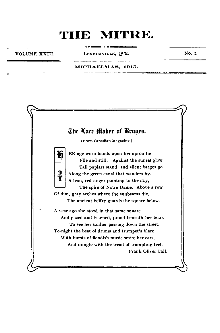raan<del>se</del> forma

#### VOLUME XXIII. LENNOXVILLE, QUE. NO. I.

 $\pm$   $\pm$   $\pm$   $\pm$ 

أحمد المستحقق المستحدث والمستحدث والمستحدث

 $- - -$ 

<u>mengan yang masara</u>

#### MICHAELMAS, 1915.

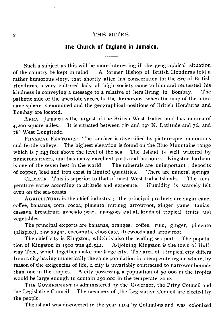#### **The Church of England in Jamaica.**

Such a subject as this will be more interesting if the geographical situation of the country be kept in mind. A former Bishop of British Honduras told a rather humorous story, that shortly after his consecration for the See of British Honduras, a very cultured lady of high society came to him and requested his kindness in conveying a message to a relative of hers living in Bombay. The pathetic side of the anecdote succeeds the humorous when the map of the mundane sphere is examined and the geographical positions of British Honduras and Bombay are located.

AREA-Jamaica is the largest of the British West Indies and has an area of 4,200 square miles. It is situated between  $18^{\circ}$  and  $19^{\circ}$  N. Latitude and  $76_0$  and 78° West Longitude.

PHYSICAL FEATURES--The surface is diversified by picturesque mountains and fertile valleys. The highest elevation is found on the Blue Mountains range which is 7,243 feet above the level of the sea. The Island is well watered by numerous rivers, and has many excellent ports and harbours. Kingston harbour<br>is one of the seven best in the world. The minerals are unimportant; deposits The minerals are unimportant ; deposits of copper, lead and iron exist in limited quantities. There are mineral springs.

CLIMATE—This is superior to that of most West India Islands. The temperature varies according to altitude and exposure. Humidity is scarcely felt even on the sea-coasts.

AGRICULTURE is the chief industry ; the principal products are sugar-cane, coffee, bananas, corn, cocoa, pimento, nutmeg, arrowroot, ginger, yams, tanias, cassava, breadfruit, avocado pear, mangoes and all kinds of tropical fruits and vegetables.

The principal exports are bananas, oranges, coffee, rum, ginger, pimento (allspice), raw sugar, cocoanuts, chocolate, dyewoods and arrowroot.

The chief city is Kingston, which is also the leading sea-port. The population of Kingston in 1910 was 46,542. Adjoining Kingston is the town of Half way Tree, which together make one large city. The area of a tropical city differs from a city having numerically the same population in a temperate region where, by reason of the exigencies of life, a city is invariably contracted to narrower bounds<br>than one in the tropics. A city possessing a population of 50,000 in the tropics A city possessing a population of  $50,000$  in the tropics. would be large enough to contain 250,000 in the temperate zone.

THE GOVERNMENT is administered by the Governor, the Privy Council and the Legislative Council The members of the Legislative Council are elected by the people.

The island was discovered in the year 1494 by Columbus and was colonized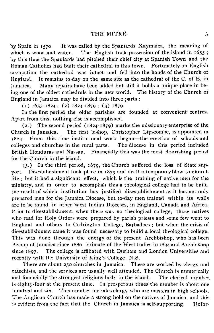by Spain in 1570. It was called by the Spaniards Xaymaica, the meaning of The English took possession of the island in  $1655$ ; which is wood and water. by this time the Spaniards had pitched their chief city at Spanish Town and the Roman Catholics had built their cathedral in this town. Fortunately on English occupation the cathedral was intact and fell into the hands of the Church of England. It remains to-day on the same site as the cathedral of the C. of E. in Jamaica. Many repairs have been added but still it holds a unique place in being one of the oldest cathedrals in the new world. The history of the Church of England in Jamaica may be divided into three parts :

 $(i)$  1655-1824; (2) 1824-1879; (3) 1879.

In the first period the older parishes are founded at convenient centres. Apart from this, nothing else is accomplished.

(2.) The second period  $(1824-1879)$  marks the missionary enterprise of the Church in Jamaica. The first bishop, Christopher Lipscombe, is appointed in 1824. From this time institutional work began—the erection of schools and colleges and churches in the rural parts. The diocese in this period included British Honduras and Nassau. Financially this was the most flourishing period for the Church in the island.

 $(3.)$  In the third period, 1879, the Church suffered the loss of State support. Disestablishment took place in 1879 and dealt a temporary blow to church ife; but it had a significant effect, which is the training of native men for the ministry, and in order to accomplish this a theological college had to be built, the result of which institution has justified disestablishment as it has not only prepared men for the Jamaica Diocese, but to-day men trained within its walls are to be found in other West Indian Dioceses, in England, Canada and Africa. Prior to disestablishment, when there was no theological college, those natives who read for Holy Orders were prepared by parish priests and some few went to England and others to Codrington College, Barbadoes; but when the crisis of disestablishment came it was found necessary to build a local theological college. This was done through the energy of the present Archbishop, who has been Bishop of Jamaica since 1880, Primate of the West Indies in 1894 and Archbishop since 1897. The college is affiliated with Durham and London Universities and recently with the University of King's College, N.S.

There are about 250 churches in Jamaica. These are worked by clergy and catechists, and the services are usually well attended. The Church is numerically and financially the strongest religious body in the island. The clerical number is eighty-four at the present time. In prosperous times the number is about one hundred and six. This number includes clergy who are masters in high schools. The Anglican Church has made a strong hold on the natives of Jamaica, and this is evident from the fact that the Church in Jamaica is self-supporting. Unfor-

and finally the strongest religious body in the island. The island. The island. The island. The clerical number of  $\alpha$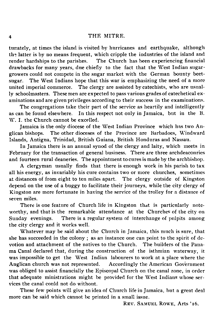tunately, at times the island is visited by hurricanes and earthquake, although the latter is by no means frequent, which cripple the industries of the island and render hardships to the parishes. The Church has been experiencing financial The Church has been experiencing financial drawbacks for many years, due chiefly to the fact that the West Indian sugargrowers could not compete in the sugar market with the German bounty beetsugar. The West Indians hope that this war is emphasizing the need of a more united imperial commerce. The clergy are assisted by catechists, who are usually schoolmasters. These men are expected to pass various grades of catechetical examinations and are given privileges according to their success in the examinations.

The congregations take their part of the service as heartily and intelligently as can be found elsewhere. In this respect not only in Jamaica, but in the B. W. I. the Church cannot be excelled.

Jamaica is the only diocese of the West Indian Province which has two Anglican bishops. The other dioceses of the Province are Barbadoes, Windward Islands, Antigua, Trinidad, British Guiana, British Honduras and Nassau.

In Jamaica there is an annual synod of the clergy and laity, which meets in February for the transaction of general business. There are three archdeaconries and fourteen rural deaneries. The appointment to cures is made by the archbishop.

A clergyman usually finds that there is enough work in his parish to tax all his energy, as invariably his cure contains two or more churches, sometimes at distances of from eight to ten miles apart. The clergy outside of Kingston depend on the use of a buggy to facilitate their journeys, while the city clergy of Kingston are more fortunate in having the service of the trolley for a distance of seven miles.

There is one feature of Church life in Kingston that is particularly noteworthy, and that is the remarkable attendance at the Churches of the city on Sunday evenings. There is a regular system of interchange of pulpits among the city clergy and it works well.

Whatever may be said about the Church in Jamaica, this much is sure, that she has succeeded in the colony ; as an instance one can point to the spirit of devotion and attachment of the natives to the Church. The builders of the Pana ma Canal declared that, during the construction of the isthmian waterway, it was impossible to get the West Indian labourers to work at a place where the Anglican church was not represented. Accordingly the American Government Accordingly the American Government was obliged to assist financially the Episcopal Church on the canal zone, in order that adequate ministrations might be provided for the West Indians whose services the canal could not do without.

These few points will give an idea of Church life in Jamaica, but a great deal more can be said which cannot be printed in a small issue.

RRV. SAMUEL ROWE, Arts '16.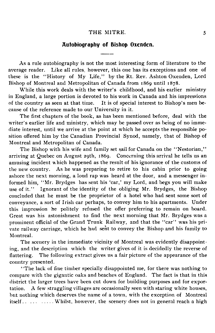#### **Autobiography of Bishop Oxenden.**

As a rule autobiography is not the most interesting form of literature to the average reader. Like all rules, however, this one has its exceptions and one of these is the "History of My Life," by the Rt. Rev. Ashton Oxenden, Lord Bishop of Montreal and Metropolitan of Canada from 1869 until 1878.

While this work deals with the writer's childhood, and his earlier ministry in England, a large portion is devoted to his work in Canada and his impressions of the country as seen at that time. It is of special interest to Bishop's men because of the reference made to our University in it.

The first chapters of the book, as has been mentioned before, deal with the writer's earlier life and ministry, which may be passed over as being of no immediate interest, until we arrive at the point at which he accepts the responsible position offered him by the Canadian Provincial Synod, namely, that of Bishop of Montreal and Metropolitan of Canada.

The Bishop with his wife and family set sail for Canada on the " Nestorian," arriving at Quebec on August 29th, 1869. Concerning this arrival he tells us an amusing incident which happened as the result of his ignorance of the customs of the new country. As he was preparing to retire to his cabin prior to going ashore the next morning, a loud rap was heard at the door, and a messenger informed him, " Mr. Brydges has sent his 'car,' my Lord, and begs you will make use of it." Ignorant of the identity of the obliging Mr. Brydges, the Bishop concluded that he must be the proprietor of a hotel who had sent some sort of conveyance, a sort of Irish car perhaps, to convey him to his apartments. Under this impression he politely refused the offer preferring to remain on board. Great was his astonishment to find the next morning that Mr. Brydges was a prominent official of the Grand Trunk Railway, and that the "car" was his private railway carriage, which he had sent to convey the Bishop and his family to Montreal.

The scenery in the immediate vicinity of Montreal was evidently disappointing, and the description which the writer gives of it is decidedly the reverse of flattering. The following extract gives us a fair picture of the appearance of the country presented.

" The lack of fine timber specially disappointed me, for there was nothing to compare with the gigantic oaks and beaches of England. The fact is that in this district the larger trees have been cut down for building purposes and for exportation. A few straggling villages are occasionally seen with staring white houses, but nothing which deserves the name of a town, with the exception of Montreal itself..................... Whilst, however, the scenery does not in general reach a high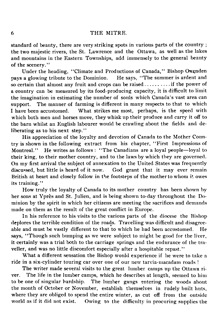standard of beauty, there are very striking spots in various parts of the country ; the two majestic rivers, the St. Lawrence and the Ottawa, as well as the lakes and mountains in the Eastern Townships, add immensely to the general beauty of the scenery."

Under the heading, "Climate and Productions of Canada," Bishop Oxenden<br>a glowing tribute to the Dominion. He says, "The summer is ardent and pays a glowing tribute to the Dominion. so certain that almost any fruit and crops can be raised................. if the power of a country can be measured by its food-producing capacity, it is difficult to limit the imagination in estimating the number of souls which Canada's vast area can support. The manner of farming is different in many respects to that to which I have been accustomed. What strikes me most, perhaps, is the speed with which both men and horses move, they whisk up their produce and carry it off to the barn whilst an English labourer would be crawling about the fields and deliberating as to his next step."

His appreciation of the loyalty and devotion of Canada to the Mother Country is shown in the following extract from his chapter, ' 'First Impressions of Montreal." He writes as follows : ' 'The Canadians are a loyal people— loyal to their king, to their mother country, and to the laws by which they are governed. On my first arrival the subject of annexation to the United States was frequently discussed, but little is heard of it now. God grant that it may ever remain God grant that it may ever remain British at heart and closely follow in the footsteps of the mother to whom it owes its training."

How truly the loyalty of Canada to its mother country has been shown by her sons at Ypres and St. Julien, and is being shown to-day throughout the Dominion by the spirit in which her citizens are meeting the sacrifices and demands made on them as the result of the great conflict in Europe.

In his reference to his visits to the various parts of the diocese the Bishop deplores the terrible condition of the roads. Travelling was difficult and disagreeable and must be vastly different to that to which he had been accustomed. He says, "Though such bumping as we were subject to might be good for the liver, it certainly was a trial both to the carriage springs and the endurance of the traveller, and was no little discomfort especially after a hospitable repast."

What a different sensation the Bishop would experience if he were to take a ride in a six-cylinder touring car over one of our new tarvia-macadam roads !

The writer made several visits to the great lumber camps up the Ottawa river. The life in the lumber camps, which he describes at length, seemed to him<br>to be one of singular hardship. The lumber gangs entering the woods about The lumber gangs entering the woods about the month of October or November, establish themselves in rudely built huts, where they are obliged to spend the entire winter, as cut off from the outside world as if it did not exist. Owing to the difficulty in procuring supplies the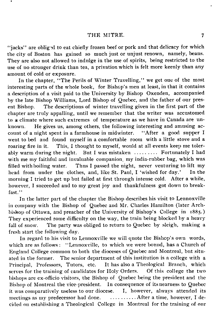"jacks" are obliged to eat chiefly frozen beef or pork and that delicacy for which the city of Boston has gained so much just or unjust renown, namely, beans. They are also not allowed to indulge in the use of spirits, being restricted to the use of no stronger drink than tea, a privation which is felt more keenly than any amount of cold or exposure.

In the chapter, "The Perils of Winter Travelling," we get one of the most interesting parts of the whole book, for Bishop's men at least, in that it contains a description of a visit paid to the University by Bishop Oxenden, accompanied by the late Bishop Williams, Lord Bishop of Quebec, and the father of our present Bishop. The descriptions of winter travelling given in the first part of the chapter are truly appalling, until we remember that the writer was accustomed to a climate where such extremes of temperature as we have in Canada are unknown. He gives us, among others, the following interesting and amusing account of a night spent in a farmhouse in midwinter. "After a good supper I count of a night spent in a farmhouse in midwinter. went to bed and found myself in a comfortable room with a little stove and a roaring fire in it. This, I thought to myself, would at all events keep me toler-<br>ably warm during the night. But I was mistaken ......... Fortunately I had But I was mistaken ........... Fortunately I had with me my faithful and invaluable companion, my india-rubber bag, which was filled with boiling water. Thus I passed the night, never venturing to lift my Thus I passed the night, never venturing to lift my head from under the clothes, and, like St. Paul, I 'wished for day.' In the morning I tried to get up but failed at first through intense cold. After a while, however, I succeeded and to my great joy and thankfulness got down to breakfast."

In the latter part of the chapter the Bishop describes his visit to Lennoxville in company with the Bishop of Quebec and Mr. Charles Hamilton (later Archbishop of Ottawa, and preacher of the University of Bishop's College in 1885.) They experienced some difficulty on the way, the train being blocked by a heavy fall of snow. The party was obliged to return to Quebec by sleigh, making a fresh start the following day.

In regard to his visit to Lennoxville we will quote the Bishop's own words, which are as follows: "Lennoxville, to which we were bound, has a Church of England College common to both the dioceses of Quebec and Montreal, but situated in the former. The senior department of this institution is a college with a Principal, Professors, Tutors, etc. It has also a Theological Branch, which serves for the training of candidates for Holy Orders. Of this college the two serves for the training of candidates for Holy Orders. bishops are ex-officio visitors, the Bishop of Quebec being the president and the Bishop of Montreal the vice-president. In consequence of its nearness to Quebec it was comparatively useless to our diocese. I, however, always attended its meetings as my predecessor had done. ......... After a time, however, I demeetings as my predecessor had done. cided on establishing a Theological College in Montreal for the training of our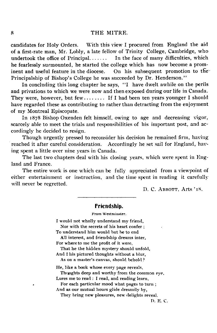candidates for Holy Orders. With this view I procured from England the aid of a first-rate man, Mr. Lobly, a late fellow of Trinity College, Cambridge, who undertook the office of Principal....... In the face of many difficulties, which he fearlessly surmounted, he started the college which has now become a prom-<br>inent and useful feature in the diocese. On his subsequent promotion to the On his subsequent promotion to the Principalship of Bishop's College he was succeeded by Dr. Henderson."

In concluding this long chapter he says, "I have dwelt awhile on the perils and privations to which we were now and then exposed during our life in Canada. They were, however, but few ......... If I had been ten years younger I should have regarded these as contributing to rather than detracting from the enjoyment of my Montreal Episcopate.

In 1878 Bishop Oxenden felt himself, owing to age and decreasing vigor, scarcely able to meet the trials and responsibilities of his important post, and accordingly he decided to resign.

Though urgently pressed to reconsider his decision he remained firm, having reached it after careful consideration. Accordingly he set sail for England, having spent a little over nine years in Canada.

The last two chapters deal with his closing years, which were spent in England and France.

The entire work is one which can be fully appreciated from a viewpoint of either entertainment or instruction, and the time spent in reading it carefully will never be regretted.

D. C. ABBOTT, Arts '18.

#### **Friendship.**

From Westminster.

I would not wholly understand my friend. Nor with the secrets of his heart confer ; To understand him would but be to end All interest, and friendship dreams inter, For where to me the profit of it were, That he the hidden mystery should unfold, And I his pictured thoughts without a blur, As on a master's canvas, should behold ? He, like a book whose every page reveals, Thoughts deep and worthy from the common eye. Lures me to read : I read, and reading learn. For each particular mood what pages to turn ; And as our mutual hours glide dreamily by, They bring new pleasures, new delights reveal.

D. E. C.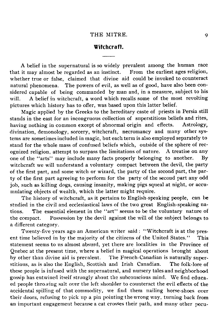#### **Witchcraft.**

A belief in the supernatural is so widely prevalent among the human race<br>it may almost be regarded as an instinct. From the earliest ages religion, that it may almost be regarded as an instinct. whether true or false, claimed that divine aid could be invoked to counteract natural phenomena. The powers of evil, as well as of good, have also been considered capable of being commanded by man and, in a measure, subject to his will. A belief in witchcraft, a word which recalls some of the most revolting pictures which history has to offer, was based upon this latter belief.

Magic applied by the Greeks to the hereditary caste of priests in Persia still stands in the east for an incongruous collection of superstitious beliefs and rites,<br>having nothing in common except of abnormal origin and effects. Astrology, having nothing in common except of abnormal origin and effects. divination, demonology, sorcery, witchcraft, necromancy and many other systems are sometimes included in magic, but each term is also employed separately to stand for the whole mass of confused beliefs which, outside of the sphere of rec-<br>ognized religion, attenunt to surpass the limitations of nature. A treatise on any ognized religion, attempt to surpass the limitations of nature. one of the "arts" may include many facts properly belonging to another. By witchcraft we will understand a voluntary compact between the devil, the party of the first part, and some witch or wizard, the party of the second part, the party of the first part agreeing to perform for the party of the second part any odd job, such as killing dogs, causing insanity, making pigs squeal at night, or accumulating objects of wealth, which the latter might require.

The history of witchcraft, as it pertains to English-speaking people, can be studied in the civil and ecclesiastical laws of the two great English-speaking nations. The essential element in the " art" seems to be the voluntary nature of the compact. Possession by the devil against the will of the subject belongs to a different category.

Twenty-five years ago an American writer said : " Witchcraft is at the present time believed in by the majority of the citizens of the United States." This statement seems to us almost absurd, yet there are localities in the Province of Quebec at the present time, where a belief in magical operations brought about by other than divine aid is prevalent. The French-Canadian is naturally super-The French-Canadian is naturally superstitious, as is also the English, Scottish and Irish Canadian. The folk-lore of these people is infused with the supernatural, and nursery tales and neighborhood gossip has entwined itself strongly about the subconscious mind. We find educaed people throwing salt over the left shoulder to counteract the evil effects of the accidental spilling of that commodity, we find them nailing horse-shoes over their doors, refusing to pick up a pin pointing the wrong way, turning back from an important engagement because a cat crosses their path, and many other pecu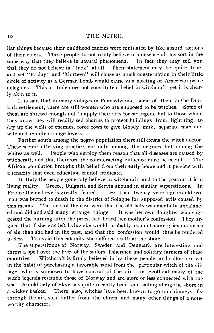#### IO THE MITRE.

liar things because their childhood fancies were mutilated by like absurd actions of their elders. These people do not really believe in nonsense of this sort in the same way that they believe in natural phenomena. In fact they may tell you same way that they believe in natural phenomena. that they do not believe in "luck" at all. Their statement may be quite true, and yet "Friday" and "thirteen" will cause as much consternation in their little circle of activity as a German bomb would cause in a meeting of American peace delegates. This attitude does not constitute a belief in witchcraft, yet it is clearly akin to it.

It is said that in many villages in Pennsylvania, some of them in the Dunkirk settlement, there are still women who are supposed to be witches. Some of them are shrewd enough not to apply their arts for strangers, but to those whom they know they will readily sell charms to protect buildings from lightning, to dry up the wells of enemies, force cows to give bloody milk, separate man and wife and reunite strange lovers.

Farther south among the negro population there still exists the witch doctor. These secure a thriving practice, not only among the negroes but among the whites as well. People who employ them reason that all diseases are caused by witchcraft, and that therefore the counteracting influence must be occult. The African population brought this belief from their early home and it persists with a tenacity that even education cannot eradicate.

In Italy the people generally believe in witchcraft and to the peasant it is a living reality. Greece, Bulgaria and Servia abound in similar superstitions. In Less than twenty years ago an old woman was burned to death in the district of Sologne for supposed evils caused by this means. The facts of the case were that the old lady was mentally unbalanced and did and said many strange things. It was her own daughter who suggested the burning after the priest had heard her mother's confession. They argued that if she was left living she would probably commit more grievous forms of sin than she had in the past, and that the confession would thus be rendered useless. To avoid this calamity she suffered death at the stake.

The superstitions of Norway, Sweden and Denmark are interesting and throw a spell over the lives of the sailors, fishermen and solitary farmers of these countries. Witchcraft is firmly believed in by these people, and sailors are yet in the habit of purchasing a favorable wind from the particular witch of the village, who is supposed to have control of the air. In Scotland many of the lage, who is supposed to have control of the air. witch legends resemble those of Norway and are more or less connected with the sea. An old lady of Skye has quite recently been seen sailing along the shore in<br>a wicker basket. There, also, witches have been known to go up chimneys. fly There, also, witches have been known to go up chimneys, fly through the air, steal butter from the churn and many other things of a noteworthy character.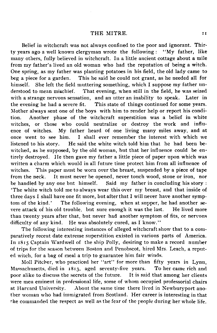Belief in witchcraft was not always confined to the poor and ignorant. Thir-<br>ears ago a well known clergyman wrote the following: "My father, like ty years ago a well known clergyman wrote the following : many others, fully believed in witchcraft. In a little ancient cottage about a mile from my father's lived an old woman who had the reputation of being a witch. One spring, as my father was planting potatoes in his field, the old lady came to beg a piece for a garden. This he said he could not grant, as he needed all for This he said he could not grant, as he needed all for himself. She left the field muttering something, which I suppose my father understood to mean mischief. That evening, when still in the field, he was seized That evening, when still in the field, he was seized with a strange nervous sensation, and an utter an inability to speak. Later in the evening he had a severe fit. This state of things continued for some years. This state of things continued for some years. Mother always sent one of the boys with him to render help or report his condition. Another phase of the witchcraft superstition was a belief in white witches, or those who could neutralize or destroy the work and influence of witches. My father heard of one living many miles away, and at once went to see him. I shall ever remember the interest with which we I shall ever remember the interest with which we listened to his story. He said the white witch told him that he had been bewitched, as he supposed, by the old woman, but that her influence could be entirely destroyed. He then gave my father a little piece of paper upon which was written a charm which would in all future time protect him from all influence of witches. This paper must be worn over the breast, suspended by a piece of tape from the neck. It must never be opened, never touch wood, stone or iron, nor<br>be handled by any one but himself. Said my father in concluding his story: be handled by any one but himself. 'The white witch told me to always wear this over my breast, and that inside of three days I shall have one fit more, but after that I will never have another symptom of the kind.' The following evening, when at supper, he had another se-The following evening, when at supper, he had another severe attack of his old trouble, but sure enough it was the last. He lived more than twenty years after that, but never had another symptom of fits, or nervous difficulty of any kind. He was absolutely cured, as I know."

The following interesting instances of alleged witchcraft show that to a comparatively recent date extreme superstition existed in various parts of America. In 1815 Captain Wardwell of the ship Polly, desiring to make a record number of trips for the season between Boston and Penobscot, hired Mrs. Leach, a reputed witch, for a bag of meal a trip to guarantee him fair winds.

Moll Pitcher, who practiced her "art" for more than fifty years in Lynn, sachusetts, died in  $1813$ , aged seventy-five years. To her came rich and Massachusetts, died in 1813, aged seventy-five years. poor alike to discuss the secrets of the future. It is said that among her clients were men eminent in professional life, some of whom occupied professorial chairs at Harvard University. About the same time there lived in Newburyport ano ther woman who had immigrated from Scotland. Her career is interesting in that she commanded the respect as well as the fear of the people during her whole life.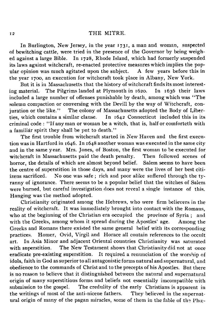In Burlington, New Jersey, in the year 1731, a man and woman, suspected of bewitching cattle, were tried in the presence of the Governor by being weighed against a large Bible. In 1728, Rhode Island, which had formerly suspended its laws against witchcraft, re-enacted protective measures which implies the pop-<br>ular opinion was much agitated upon the subject. A few years before this in ular opinion was much agitated upon the subject. the year 1700, an execution for witchcraft took place in Albany, New York.

But it is in Massachusetts that the history of witchcraft finds its most interest-<br>material. The Pilgrims landed at Plymouth in 1620. In 1636 their laws ing material. The Pilgrims landed at Plymouth in  $1620$ . included a large number of offenses punishable by death, among which was " The solemn compaction or conversing with the Devill by the way of Witchcraft, conjuration or the like." The colony of Massachusetts adopted the Body of Liber-The colony of Massachusetts adopted the Body of Liber-<br>milar clause. In  $1642$  Connecticut included this in its ties, which contains a similar clause. criminal code : " If any man or woman be a witch, that is, half or comforteth with a familiar spirit they shall be put to death."

The first trouble from witchcraft started in New Haven and the first execution was in Hartford in 1646. In 1648 another woman was executed in the same city and in the same year. Mrs. Jones, of Boston, the first woman to be executed for witchcraft in Massachusetts paid the death penalty. Then followed scenes of witchcraft in Massachusetts paid the death penalty. horror, the details of which are almost beyond belief. Salem seems to have been the centre of superstition in those days, and many were the lives of her best citi-<br>izens sacrificed. No one was safe : rich and poor alike suffered through the tv-No one was safe; rich and poor alike suffered through the tyranny of ignorance. There seems to be a popular belief that the witches of Salem were burned, but careful investigation does not reveal a single instance of this. Hanging was the method adopted.

Christianity originated among the Hebrews, who were firm believers in the reality of witchcraft. It was immediately brought into contact with the Romans, who at the beginning of the Christian era occupied the province of Syria ; and with the Greeks, among whom it spread during the Apostles' age. Among the Greeks and Romans there existed the same general belief with its corresponding practices. Homer, Ovid, Virgil and Horace all contain references to the occult art. In Asia Minor and adjacent Oriental countries Christianity was saturated with superstition. The New Testament shows that Christianity did not at once eradicate pre-existing superstition. It required a renunciation of the worship of It required a renunciation of the worship of idols, faith in God as superior to all antagonistic forms natural and supernatural, and obedience to the commands of Christ and to the precepts of his Apostles. But there is no reason to believe that it distinguished between the natural and supernatural origin of many superstitious forms and beliefs not essentially imcompatible with submission to the gospel. The credulity of the early Christians is apparent in The credulity of the early Christians is apparent in the writings of most of the anti-nicene fathers. They believed in the supernat ural origin of many of the pagan miracles, some of them in the fable of the Pho-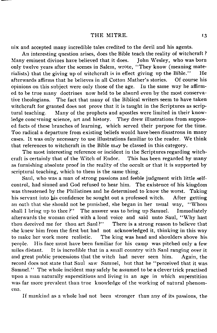nix and accepted many incredible tales credited to the devil and his agents.

An interesting question arises, does the Bible teach the reality of witchcraft ? Many eminent divines have believed that it does. only twelve years after the scenes in Salem, wrote, "They know (meaning mate-<br>rialists) that the giving up of witchcraft is in effect giving up the Bible." He rialists) that the giving up of witchcraft is in effect giving up the Bible." afterwards affirms that he believes in all Cotton Mather's stories. Of course his opinions on this subject were only those of the age. In the same way he affirmed to be true many doctrines now held to be absurd even by the most conservative theologians. The fact that many of the Biblical writers seem to have taken witchcraft for granted does not prove that it is taught in the Scriptures as scriptural teaching. Many of the prophets and apostles were limited in their knowledge concerning science, art and history. They drew illustrations from supposed facts of these branches of learning, which served their purpose for the time. Too radical a departure from existing beliefs would have been disastrous in many cases. It was only necessary to use illustrations familiar to the reader. We think that references to witchcraft in the Bible may be classed in this category.

The most interesting reference or incident in the Scriptures regarding witchcraft is certainly that of the Witch of Endor. This has been regarded by many as furnishing absolute proof in the reality of the occult or that it is supported by scriptural teaching, which to them is the same thing.

Saul, who was a man of strong passions and feeble judgment with little selfcontrol, had sinned and God refused to hear him. The existence of his kingdom was threatened by the Philistines and he determined to know the worst. Taking his servant into his confidence he sought out a professed witch. After getting an oath that she should not be punished, she began in her usual way, " Whom shall I bring up to thee ?" The answer was to bring up Samuel. Immediately afterwards the woman cried with a loud voice and said unto Saul, "Why hast<br>thou deceived me for thou art Saul?" There is a strong reason to believe that There is a strong reason to believe that she knew him from the first but had not acknowledged it, thinking in this way to make her work more realistic. The king was head and shoulders above his The king was head and shoulders above his people. His face must have been familiar for his camp was pitched only a few miles distant. It is incredible that in a small country with Saul ranging over it and great public processions that the witch had never seen him. Again, the record does not state that Saul saw Samuel, but that he " perceived that it was Samuel." The whole incident may safely be assumed to be a clever trick practised upon a man naturally superstitious and living in an age in which superstition was far more prevalent than true knowledge of the working of natural phenomena.

If mankind as a whole had not been stronger than any of its passions, the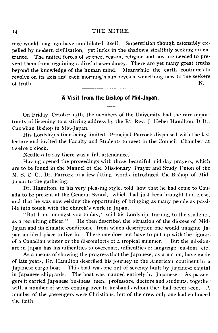race would long ago have annihilated itself. Superstition though ostensibly expelled by modern civilization, yet lurks in the shadows stealthily seeking an entrance. The united forces of science, reason, religion and law are needed to prevent them from regaining a direful ascendancy. There are yet many great truths beyond the knowledge of the human mind. Meanwhile the earth continues to revolve on its axis and each morning's sun reveals something new to the seekers of truth.  $N$ .

#### **A Visit from the Bishop of Mid-Japan.**

On Friday, October 15th, the members of the University had the rare oppor tunity of listening to a stirring address by the Rt. Rev. J. Heber Hamilton, D.D., Canadian Bishop in Mid-Japan.

His Lordship's time being limited, Principal Parrock dispensed with the last lecture and invited the Faculty and Students to meet in the Council Chamber at twelve o'clock.

Needless to say there was a full attendance.

Having opened the proceedings with those beautiful mid-day prayers, which are to be found in the Manuel of the Missionary Prayer and Study Union of the M. S. C. C., Dr. Parrock in a few fitting words introduced the Bishop of Mid-Japan to the gathering.

Dr. Hamilton, in his very pleasing style, told how that he had come to Canada to be present at the General Synod, which had just been brought to a close, and that he was now seizing the opportunity of bringing as many people as possible into touch with the church's work in Japan.

" But I am amongst you to-day," said his Lordship, turning to the students, as a recruiting officer." He then described the situation of the diocese of Mid-Japan and its climatic conditions, from which description one would imagine Japan an ideal place to live in. There one does not have to put up with the rigours of a Canadian winter or the discomforts of a tropical summer. But the missionare in Japan has his difficulties to overcome, difficulties of language, custom, etc.

As a means of showing the progress that the Japanese, as a nation, have made of late years, Dr. Hamilton described his journey to the American continent in a Japanese cargo boat. This boat was one out of seventy built by Japanese capital in Japanese shipyards. The boat was manned entirely by Japanese. As passengers it carried Japanese business men, professors, doctors and students, together with a number of wives coming over to husbands whom they had never seen. number of the passengers were Christians, but of the crew only one had embraced the faith.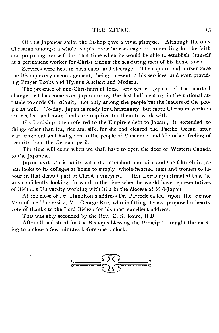Of this Japanese sailor the Bishop gave a vivid glimpse. Although the only Christian amongst a whole ship's crew he was eagerly contending for the faith and preparing himself for that time when he would be able to establish himself as a permanent worker for Christ among the sea-faring men of his home town.<br>Services were held in both cabin and steerage. The captain and purser gave

Services were held in both cabin and steerage. the Bishop every encouragement, being present at his services, and even providing Prayer Books and Hymns Ancient and Modern.

The presence of non-Christians at these services is typical of the marked change that has come over Japan during the last half century in the national attitude towards Christianity, not only among the people but the leaders of the people as well. To-day, Japan is ready for Christianity, but more Christian workers are needed, and more funds are required for them to work with.

His Lordship then referred to the Empire's debt to Japan ; it extended to things other than tea, rice and silk, for she had cleared the Pacific Ocean after war broke out and had given to the people of Vancouver and Victoria a feeling of security from the German peril.

The time will come when we shall have to open the door of Western Canada to the Japanese.

Japan needs Christianity with its attendant morality and the Church in Japan looks to its colleges at home to supply whole-hearted men and women to labour in that distant part of Christ's vineyard. was confidently looking forward to the time when he would have representatives of Bishop's University working with him in the diocese of Mid-Japan.

At the close of Dr. Hamilton's address Dr. Parrock called upon the Senior Man of the University, Mr. George Roe, who in fitting terms proposed a hearty vote of thanks to the Lord Bishop for his most excellent address.

This was ably seconded by the Rev. C. S. Rowe, B.D.

After all had stood for the Bishop's blessing the Principal brought the meeting to a close a few minutes before one o'clock.

![](_page_20_Picture_10.jpeg)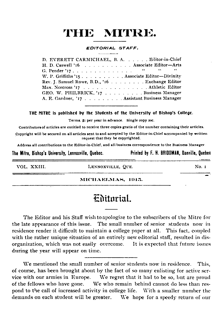#### *EDITORIAL STAFF.*

| D. EVERETT CARMICHAEL, B. A. Editor-in-Chief   |  |
|------------------------------------------------|--|
| H. D. Caswell '16 Associate Editor-Arts        |  |
|                                                |  |
| W. P. Griffiths '15 Associate Editor-Divinity  |  |
| Rev. J. Samuel Rowe, B.D., '16 Exchange Editor |  |
| Max. Norcross '17 Athletic Editor              |  |
| GEO. W. PHILBRICK, '17 Business Manager        |  |
| A. E. Gardner, '17 Assistant Business Manager  |  |

THE MITRE is published by the Students of the University of Bishop's College.

Terms. \$1 per year in advance. Single copy 20c.

Contributors of articles are entitled to receive three copies gratis of the number containing their articles.

Copyright will be secured on all articles sent to and accepted by the Editor-in-Chief accompanied by written request that they be copyrighted.

Address all contributions to the Editor-in-Chief, and all business correspondence to the Business Manager.

**The Mitre, Bishop's University, Lennoxville, Quebec. Printed by F. H. BRIDGMAN, Danville, Quebec**

\_\_\_\_\_\_\_\_\_\_\_\_\_\_\_

VOL. XXIII. CHARA LEXNOXVILLE, QUE. CHARA NO. I

#### MICHAELMAS, 1915.

### Editorial.

The Editor and his Staff wish to apologize to the subscribers of the Mitre for the late appearance of this issue. The small number of senior students now in residence render it difficult to maintain a college paper at all. This fact, coupled with the rather unique situation of an entirely new editorial staff, resulted in disorganization, which was not easily overcome. It is expected that future issues during the year will appear on time.

We mentioned the small number of senior students now in residence. This, of course, has been brought about by the fact of so many enlisting for active service with our armies in Europe. We regret that it had to be so, but are proud of the fellows who have gone. We who remain behind cannot do less than respond to the call of increased activity in college life. With a smaller number the demands on each student will be greater. We hope for a speedy return of our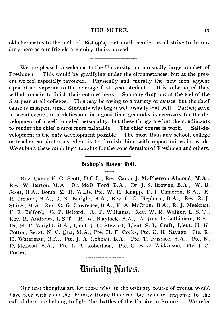old classmates to the halls of Bishop's, but until then let us all strive to do our duty here as our friends are doing theirs abroad.

We are pleased to welcome to the University an unusually large number of Freshmen. This would be gratifying under the circumstances, but at the present we feel especially favoured. Physically and morally the new men appear equal if not superior to the average first year student. It is to be hoped they will all remain to finish their courses here. So many drop out at the end of the first year at all colleges. This may be owing to a variety of causes, but the chief This may be owing to a variety of causes, but the chief cause is misspent time. Students who begin well usually end well. Participation in social events, in athletics and in a good time generally is necessary for the development of a well rounded personality, but these things are but the condiments to render the chief course more palatable. The chief course is work. Self-development is the only development possible. The most than any school, college or teacher can do for a student is to furnish him with opportunities for work. We submit these rambling thoughts for the consideration of Freshmen and others.

#### **Bishop's Honor Roll.**

Rev. Canon F. G. Scott, D.C.L., Rev. Canon J. McPherson Almond, M.A., Rev. W. Barton, M.A., Dr. McD. Ford, B.A., Dr. J. S. Browne, B.A., W. B. Scott, B.A., Bomb. M. H. Wells, Pte. W. H. Knapp, D. I. Cameron, B.A., E. H. Ireland, B.A., G. K. Boright, B.A., Rev. C. G. Hepburn, B.A., Rev. R. J. Shires, M.A., Rev. C. G. Lawrence, B.A., F. A. McCrum, B.A., R. J. Meekren, F. R. Belford, G. P. Belford, A. P. Williams, Rev. W. R. Walker, L. S. T., Rev. R. Andrews, L.S.T., H. W. Blaylock, B.A., A. Joly de Lotbiniere, B.A., Dr. H. P. Wright. B.A., Lieut. J. C. Stewart, Lieut. S. L. Craft, Lieut. H. H. Cotton, Sergt. N. C. Qua, M.A., Pte. H. F. Cocks, Pte. C. H. Savage, Pte. R. H. Waterman, B.A., Pte. J. A. Lobban, B.A., Pte. T. Eustace, B.A., Pte. N. I). McLeod, B.A., Pte. L. A. Robertson, Pte. G. E. D. Wilkinson, Pte. J. C. Porter,

## Divinity Notes.

Our first thoughts are for those who, in the ordinary course of events, would have been with us in the Divinity House this year, but who in response to the call of duty are helping to fight the battles of the Empire in Prance. We refer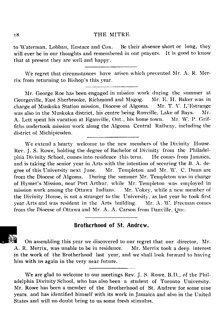to Waterman, Lobban, Eustace and Cox. Be their absence short or long, they will ever be in our thoughts and remembered in our prayers. It is good to know that at present they are well and happy.

We regret that circumstances have arisen which prevented Mr. A. R. Mer rix from returning to Bishop's this year.

Mr. George Roe has been engaged in mission work during the summer at Georgeville, East Sherbrooke, Richmond and Magog. Mr. E. H. Baker was in charge of Muskoka Station mission, Diocese of Algoma. Mr. T. V. L'Estrange was also in the Muskoka district, his centre being Ronville, Lake of Bays. Mr. A. Lett spent his vacation at Eganville, Ont., his home town. Mr. W. P. Grif fiths undertook mission work along the Algoma Central Railway, including the district of Michipicoden.

We extend a hearty welcome to the new members of the Divinity House. Rev. J. S. Rowe, holding the degree of Bachelor of Divinity from the Philadelphia Divinity School, comes into residence this term. He comes from Jamaica, and is taking the senior year in Arts with the intention of securing the B. A. degree of this University next June. Mr. Templeton and Mr. W. C. Dunn are from the Diocese of Algoma. During the summer Mr. Templeton was in charge of Hymer's Mission, near Port Arthur, while Mr. Templeton was employed in mission work among the Ottawa Indians. Mr. Vokey, while a new member of the Divinity House, is not a stranger to the University, as last year he took first year Arts and was resident in the Arts building. Mr. A. W. Freeman comes from the Diocese of Ottawa and Mr. A. A. Carson from Danville, Que.

#### **\_ Brotherhood of St. Andrew.**

On assembling this year we discovered to our regret that our director, Mr. A. R. Merrix, was unable to be in residence. Mr. Merrix took a deep interest in the work of the Brotherhood last year, and we shall look forward to having him with us again in the very near future.

We are glad to welcome to our meetings Rev. J. S. Rowe, B.D., of the Philadelphia Divinity School, who has also been a student of Toronto University. Mr. Rowe has been a member of the Brotherhood of St. Andrew for some nine years, and has identified himself with its work in Jamaica and also in the United States and will no doubt bring to us some fresh stimulus.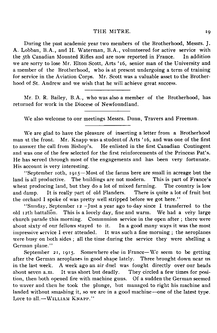During the past academic year two members of the Brotherhood, Messrs. J. A. Lobban, B.A., and H. Waterman, B.A., volunteered for active service with the 5th Canadian Mounted Rifles and are now reported in France. In addition we are sorry to lose Mr. Elton Scott, Arts ' 16, senior man of the University and a member of the Brotherhood, who is at present undergoing a term of training for service in the Aviation Corps. Mr. Scott was a valuable asset to the Brotherhood of St. Andrew and we wish that he will achieve great success.

Mr. D. R. Bailey, B.A., who was also a member of the Brotherhood, has returned for work in the Diocese of Newfoundland.

We also welcome to our meetings Messrs. Dunn, Travers and Freeman.

We are glad to have the pleasure of inserting a letter from a Brotherhood man at the front. Mr. Knapp was a student of Arts '16, and was one of the first to answer the call from Bishop's. He enlisted in the first Canadian Contingent and was one of the few selected for the first reinforcements of the Princess Pat's. He has served through most of the engagements and has been very fortunate. His account is very interesting.

" September 10th, 1915— Most of the farms here are small in acreage but the land is all productive. The buildings are not modern. This is part of France's wheat producing land, but they do a lot of mixed farming. The country is low<br>and damp. It is really part of old Flanders. There is quite a lot of fruit but and damp. It is really part of old Flanders. the orchard I spoke of was pretty well stripped before we got here.''

" Sunday, September 12 —Just a year ago to-day since I transferred to the old 12th battalion. This is a lovely day, fine and warm. We had a very large church parade this morning. Communion service in the open after ; there were about sixty of our fellows stayed to it. In a good many ways it was the most impressive service I ever attended. It was such a fine morning ; the aeroplanes were busy on both sides ; all the time during the service they were shelling a German plane."

September 21, 1915. Somewhere else in France— We seem to be getting after the German aeroplanes in good shape lately. Three brought down near us in the last week. A week ago an air duel was fought directly over our heads about seven a.m. It was short but deadly. They circled a few times for posiabout seven a.m. It was short but deadly. They circled a few times for position, then both opened fire with machine guns. Of a sudden the German seemed to waver and then he took the plunge, but managed to right his machine and landed without smashing it, so we are in a good machine— one of the latest type. Love to all. $-WILLIAN$  KNAPP."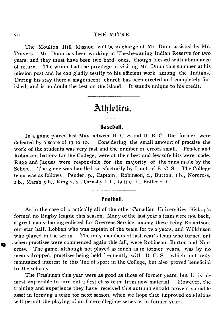The Moulton Hill Mission will be in charge of Mr. Dunn assisted by Mr. Travers. Mr. Dunn has been working at Theshewaning Indian Reserve for two years, and they must have been two hard ones, though blessed with abundance of return. The writer had the privilege of visiting Mr. Dunn this summer at his mission post and he can gladly testify to his efficient work among the Indians. During his stay there a magnificent church has been erected and completely finished, and is no doubt the best on the island. It stands unique to his credit.

## **Athletics.**

#### **Baseball.**

In a game played last May between B. C. S and U. B. C. the former were defeated by a score of 17 to 10. Considering the small amount of practise the work of the students was very fast and the number of errors small. Pender and Robinson, battery for the College, were at their best and few safe hits were made. Rugg and Jaques were responsible for the majority of the runs made by the School. The game was handled satisfactorily by Lamb of B. C. S. The College team was as follows : Pender, p., Captain ; Robinson, c., Burton, 1 b., Norcross, 2 b., Marsh 3 b.. King s. s., Ormsby **1**. f., Lett c. f., Butler r. f.

#### **Football.**

As in the case of practically all of the other Canadian Universities, Bishop's formed no Rugby league this season. Many of the last year's team were not back, a great many having enlisted for Overseas Service, among these being Robertson, our star half, Lobban who was captain of the team for two years, and Wilkinson who played in the scrim. The only members of last year's team who turned out when practises were commenced again this fall, were Robinson, Burton and Norcross. The game, although not played as much as in former years, was by no means dropped, practises being held frequently with B.C.S., which not only maintained interest in this line of sport in the College, but also proved beneficial to the schools.

The Freshmen this year were as good as those of former years, but it is almost impossible to turn out a first-class team from new material. However, the training and experience they have received this autumn should prove a valuable asset in forming a team for next season, when we hope that improved conditions will permit the playing of an Intercollegiate series as in former years.

a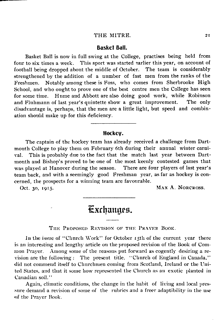#### **Basket Ball.**

Basket Ball is now in full swing at the College, practises being held from four to six times a week. This sport was started earlier this year, on account of football being dropped about the middle of October. The team is considerably strengthened by the addition of a number of fast men from the ranks of the Freshmen. Notably among these is Foss, who comes from Sherbrooke High School, and who ought to prove one of the best centre men the College has seen for some time. Hume and Abbott are also doing good work, while Robinson and Fluhmann of last year's quintette show a great improvement. The only disadvantage is, perhaps, that the men are a little light, but speed and combination should make up for this deficiency.

#### **Hockey.**

The captain of the hockey team has already received a challenge from Dartmouth College to play them on February 6th during their annual winter carnival. This is probably due to the fact that the match last year between Dartmouth and Bishop's proved to be one of the most keenly contested games that was played at Hanover during the season. There are four players of last year's team back, and with a seemingly good Freshman year, as far as hockey is concerned, the prospects for a winning team are favourable.

Oct. 30, 1915. MAX A. NORCROSS.

## **E x c h a n g e s .**

THE PROPOSED REVISION OF THE PRAYER BOOK.

In the issue of "Church Work" for October 15th of the current year there is an interesting and lengthy article on the proposed revision of the Book of Common Prayer. Among some of the reasons put forward as cogently desiring a revision are the following : The present title. " Church of England in Canada,' ' did not commend itself to Churchmen coming from Scotland, Ireland or the Uni ted States, and that it some how represented the Church as an exotic planted in Canadian soil."

Again, climatic conditions, the change in the habit of living and local pressure demand a revision of some of the rubrics and a freer adaptibility in the use of the Prayer Book.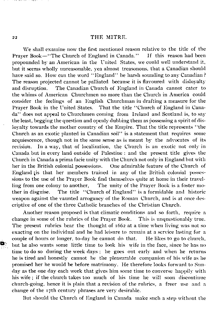We shall examine now the first mentioned reason relative to the title of the Prayer Book—"The Church of England in Canada." If this reason had been propounded by an American in the United States, we could well understand it, but it seems wholly unreasonable, yea almost treasonous, that a Canadian should have said so. How can the word "England" be harsh sounding to any Canadian? The reason projected cannot be palliated because it is flavoured with disloyalty and disruption. The Canadian Church of England in Canada cannot cater to the whims of American Churchmen no more than the Church in America could consider the feelings of an English Churchman in drafting a measure for the Prayer Book in the United States. That the title "Church of England in Canada" does not appeal to Churchmen coming from Ireland and Scotland is, to say the least, begging the question and openly dubbing them as possessing a spirit of disloyalty towards the mother country of the Empire. That the title represents "the Church as an exotic planted in Canadian soil" is a statement that requires some acquiescence, though not in the same sense as is meant by the advocates of its revision. In a way, that of localization, the Church is an exotic not only in Canada but in every land outside of Palestine : and the present title gives the Church in Canada a prima facie unity with the Church not only in England but with her in the British colonial possessions. One admirable feature of the Church of England is that her members trained in any of the British colonial posses sions to the use of the Prayer Book find themselves quite at home in their travelling from one colony to another, The unity of the Prayer Book is a foster mother in disguise. The title " Church of England" is a formidable and historic weapon against the vaunted arrogancy of the Roman Church, and is at once des criptive of one of the three Catholic branches of the Christian Church.

Another reason proposed is that climatic conditions and so forth, require a change in some of the rubrics of the Prayer Book. This is unquestionably true. The present rubrics bear the thought of 1662 at a time when living was not so exacting on the individual and he had leisure to remain at a service lasting for a couple of hours or longer, to-day he cannot do that. He likes to go to church, but he also wants some little time to look his wife in the face, since he has no time to do so during the week days ; he goes out early and when he returns he is tired and honestly cannot be the pleasurable companion of his wife as he promised her he would be before matrimony. He therefore looks forward to Sunday as the one day each week that gives him some time to converse happily with his wife ; if the church takes too much of his time he will soon discontinue church-going, hence it is plain that a revision of the rubrics, a freer use and a change of the 17th century phrases are very desirable.

But should the Church of England in Canada make such a step without the

Ģ.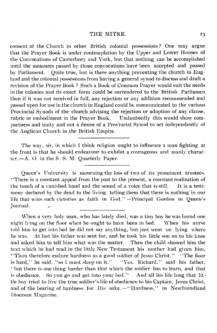consent of the Church in other British colonial possessions ? One may argue that the Prayer Book is under contemplation by the Upper and Lower Houses of the Convocations of Canterbury and York, but that nothing can be accomplished until the measures passed by those convocations have been accepted and passed<br>by Parliament. Ouite true, but is there anything preventing the church in Eng-Quite true, but is there anything preventing the church in England and the colonial possessions from having a general synod to discuss and draft a revision of the Prayer Book ? Such a Book of Common Prayer would suit the needs in the colonies and its exact form could be surrendered to the British Parliamen then if it was not received in full, any rejection or any addition recommended and passed upon for use in the church in England could be communicated to the various Provincial Synods of the church advising the rejection or adoption of any clause, rubric or embodiment in the Praver Book. Undoubtedly this would show comrubric or embodiment in the Prayer Book. pactness and unity and not a desire of a Provincial Synod to act independently of the Anglican Church in the British Empire.

The way, sir, in which I think religion ought to influence a man fighting at the front is that he should endeavour to exhibit a courageous and manly character.— A. O. in the S. S. M. Quarterly Paper.

Queen's University is mourning the loss of two of its prominent trustees. " There is a constant appeal from the past to the present, a constant realization of the touch of a vanished hand and the sound of a voice that is still. It is a testimony declared by the dead to the living, telling them that there is nothing in our life that wins such victories as faith in God." —Principal Gordon in Queen's Journal.

When a very holy man, who has lately died, was a tiny boy he was found one night lying on the floor when he ought to have been in bed. When his nurse told him to get into bed he did not say anything, but just went on lying where he was. At last his father was sent for, and he took his little son on to his knee and asked him to tell him what was the matter. Then the child showed him the text which he had read in the little New Testament his mother had given him, " Thou therefore endure hardness as a good soldier of Jesus Christ." "The floor is hard," he said, "so I must sleep on it." "Yes, Richard," said his father, " but there is one thing harder than that which the soldier has to learn, and that is obedience. So you go and get into your bed." And all his life long that lit tle boy tried to live the true soldier's life of obedience to his Captain, Jesus Christ, and of the bearing of hardness for His sake. — "Hardness," in Newfoundland Diocesan Magazine.